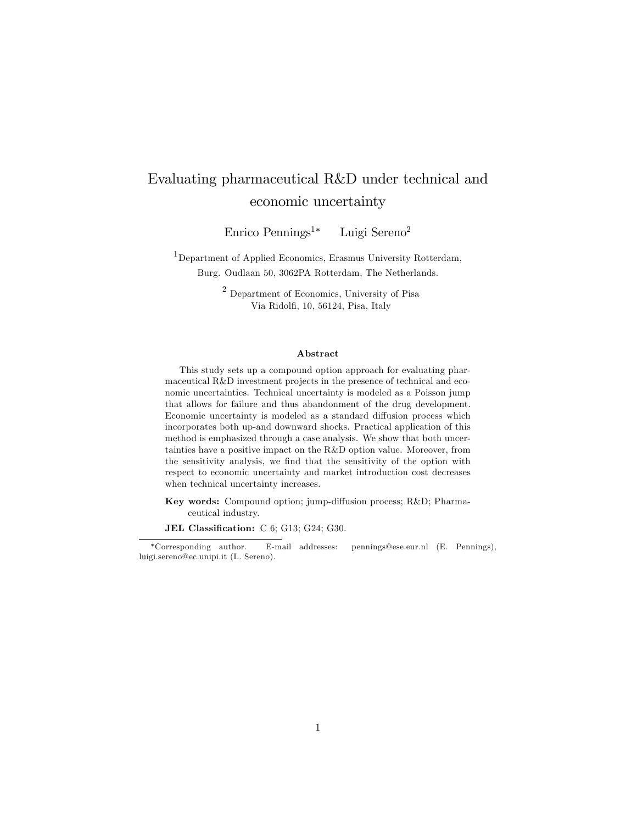# Evaluating pharmaceutical R&D under technical and economic uncertainty

Enrico Pennings<sup>1\*</sup> Luigi Sereno<sup>2</sup>

 $^1$ Department of Applied Economics, Erasmus University Rotterdam, Burg. Oudlaan 50, 3062PA Rotterdam, The Netherlands.

> <sup>2</sup> Department of Economics, University of Pisa Via Ridolfi, 10, 56124, Pisa, Italy

#### Abstract

This study sets up a compound option approach for evaluating pharmaceutical R&D investment projects in the presence of technical and economic uncertainties. Technical uncertainty is modeled as a Poisson jump that allows for failure and thus abandonment of the drug development. Economic uncertainty is modeled as a standard diffusion process which incorporates both up-and downward shocks. Practical application of this method is emphasized through a case analysis. We show that both uncertainties have a positive impact on the R&D option value. Moreover, from the sensitivity analysis, we find that the sensitivity of the option with respect to economic uncertainty and market introduction cost decreases when technical uncertainty increases.

Key words: Compound option; jump-diffusion process; R&D; Pharmaceutical industry.

JEL Classification: C 6; G13; G24; G30.

Corresponding author. E-mail addresses: pennings@ese.eur.nl (E. Pennings), luigi.sereno@ec.unipi.it (L. Sereno).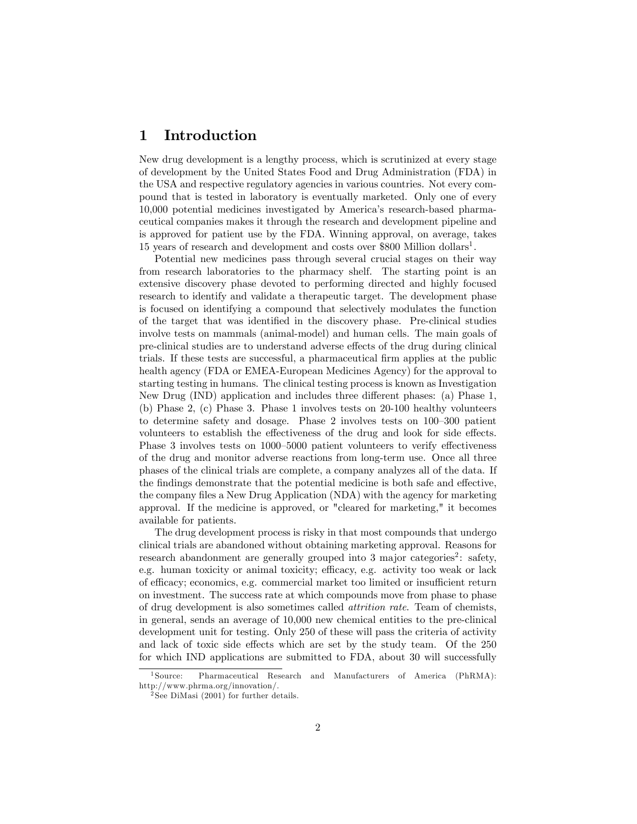## 1 Introduction

New drug development is a lengthy process, which is scrutinized at every stage of development by the United States Food and Drug Administration (FDA) in the USA and respective regulatory agencies in various countries. Not every compound that is tested in laboratory is eventually marketed. Only one of every 10,000 potential medicines investigated by Americaís research-based pharmaceutical companies makes it through the research and development pipeline and is approved for patient use by the FDA. Winning approval, on average, takes 15 years of research and development and costs over \$800 Million dollars<sup>1</sup>.

Potential new medicines pass through several crucial stages on their way from research laboratories to the pharmacy shelf. The starting point is an extensive discovery phase devoted to performing directed and highly focused research to identify and validate a therapeutic target. The development phase is focused on identifying a compound that selectively modulates the function of the target that was identified in the discovery phase. Pre-clinical studies involve tests on mammals (animal-model) and human cells. The main goals of pre-clinical studies are to understand adverse effects of the drug during clinical trials. If these tests are successful, a pharmaceutical firm applies at the public health agency (FDA or EMEA-European Medicines Agency) for the approval to starting testing in humans. The clinical testing process is known as Investigation New Drug (IND) application and includes three different phases: (a) Phase 1, (b) Phase 2, (c) Phase 3. Phase 1 involves tests on 20-100 healthy volunteers to determine safety and dosage. Phase  $2$  involves tests on  $100-300$  patient volunteers to establish the effectiveness of the drug and look for side effects. Phase 3 involves tests on 1000–5000 patient volunteers to verify effectiveness of the drug and monitor adverse reactions from long-term use. Once all three phases of the clinical trials are complete, a company analyzes all of the data. If the findings demonstrate that the potential medicine is both safe and effective, the company files a New Drug Application (NDA) with the agency for marketing approval. If the medicine is approved, or "cleared for marketing," it becomes available for patients.

The drug development process is risky in that most compounds that undergo clinical trials are abandoned without obtaining marketing approval. Reasons for research abandonment are generally grouped into 3 major categories<sup>2</sup>: safety, e.g. human toxicity or animal toxicity; efficacy, e.g. activity too weak or lack of efficacy; economics, e.g. commercial market too limited or insufficient return on investment. The success rate at which compounds move from phase to phase of drug development is also sometimes called attrition rate. Team of chemists, in general, sends an average of 10,000 new chemical entities to the pre-clinical development unit for testing. Only 250 of these will pass the criteria of activity and lack of toxic side effects which are set by the study team. Of the 250 for which IND applications are submitted to FDA, about 30 will successfully

<sup>1</sup> Source: Pharmaceutical Research and Manufacturers of America (PhRMA): http://www.phrma.org/innovation/.

 $2$ See DiMasi (2001) for further details.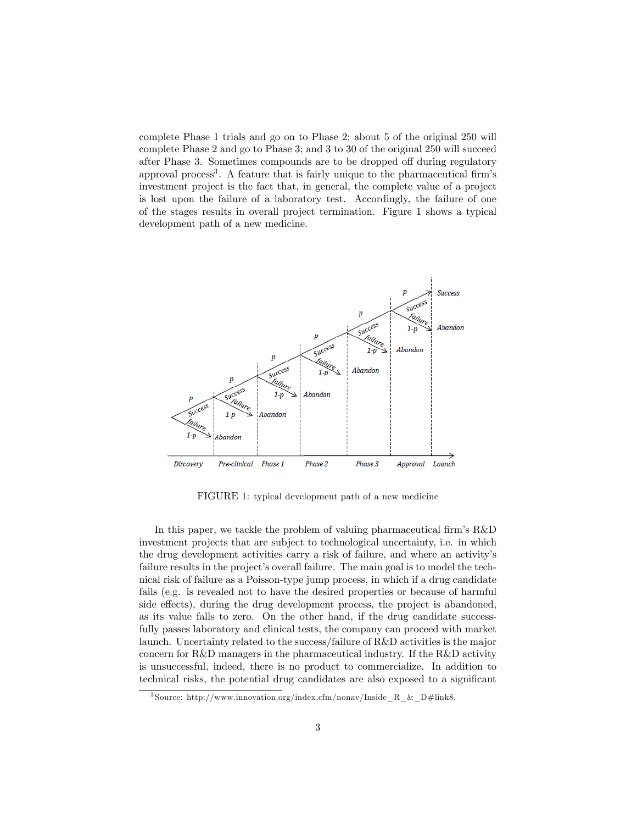complete Phase 1 trials and go on to Phase 2; about 5 of the original 250 will complete Phase 2 and go to Phase 3; and 3 to 30 of the original 250 will succeed after Phase 3. Sometimes compounds are to be dropped off during regulatory approval process<sup>3</sup>. A feature that is fairly unique to the pharmaceutical firm's investment project is the fact that, in general, the complete value of a project is lost upon the failure of a laboratory test. Accordingly, the failure of one of the stages results in overall project termination. Figure 1 shows a typical development path of a new medicine.



FIGURE 1: typical development path of a new medicine

In this paper, we tackle the problem of valuing pharmaceutical firm's R&D investment projects that are subject to technological uncertainty, i.e. in which the drug development activities carry a risk of failure, and where an activityís failure results in the project's overall failure. The main goal is to model the technical risk of failure as a Poisson-type jump process, in which if a drug candidate fails (e.g. is revealed not to have the desired properties or because of harmful side effects), during the drug development process, the project is abandoned, as its value falls to zero. On the other hand, if the drug candidate successfully passes laboratory and clinical tests, the company can proceed with market launch. Uncertainty related to the success/failure of R&D activities is the major concern for R&D managers in the pharmaceutical industry. If the R&D activity is unsuccessful, indeed, there is no product to commercialize. In addition to technical risks, the potential drug candidates are also exposed to a significant

<sup>3</sup> Source: http://www.innovation.org/index.cfm/nonav/Inside\_R\_&\_D#link8.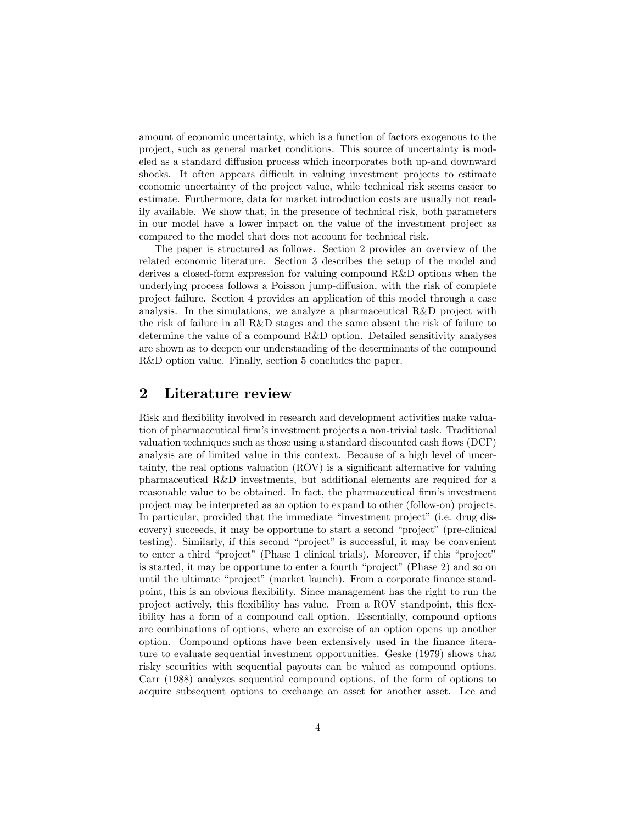amount of economic uncertainty, which is a function of factors exogenous to the project, such as general market conditions. This source of uncertainty is modeled as a standard diffusion process which incorporates both up-and downward shocks. It often appears difficult in valuing investment projects to estimate economic uncertainty of the project value, while technical risk seems easier to estimate. Furthermore, data for market introduction costs are usually not readily available. We show that, in the presence of technical risk, both parameters in our model have a lower impact on the value of the investment project as compared to the model that does not account for technical risk.

The paper is structured as follows. Section 2 provides an overview of the related economic literature. Section 3 describes the setup of the model and derives a closed-form expression for valuing compound R&D options when the underlying process follows a Poisson jump-diffusion, with the risk of complete project failure. Section 4 provides an application of this model through a case analysis. In the simulations, we analyze a pharmaceutical R&D project with the risk of failure in all R&D stages and the same absent the risk of failure to determine the value of a compound R&D option. Detailed sensitivity analyses are shown as to deepen our understanding of the determinants of the compound R&D option value. Finally, section 5 concludes the paper.

## 2 Literature review

Risk and flexibility involved in research and development activities make valuation of pharmaceutical Örmís investment projects a non-trivial task. Traditional valuation techniques such as those using a standard discounted cash flows  $(DCF)$ analysis are of limited value in this context. Because of a high level of uncertainty, the real options valuation (ROV) is a significant alternative for valuing pharmaceutical R&D investments, but additional elements are required for a reasonable value to be obtained. In fact, the pharmaceutical firm's investment project may be interpreted as an option to expand to other (follow-on) projects. In particular, provided that the immediate "investment project" (i.e. drug discovery) succeeds, it may be opportune to start a second "project" (pre-clinical testing). Similarly, if this second "project" is successful, it may be convenient to enter a third "project" (Phase 1 clinical trials). Moreover, if this "project" is started, it may be opportune to enter a fourth "project" (Phase  $2$ ) and so on until the ultimate "project" (market launch). From a corporate finance standpoint, this is an obvious flexibility. Since management has the right to run the project actively, this áexibility has value. From a ROV standpoint, this áexibility has a form of a compound call option. Essentially, compound options are combinations of options, where an exercise of an option opens up another option. Compound options have been extensively used in the Önance literature to evaluate sequential investment opportunities. Geske (1979) shows that risky securities with sequential payouts can be valued as compound options. Carr (1988) analyzes sequential compound options, of the form of options to acquire subsequent options to exchange an asset for another asset. Lee and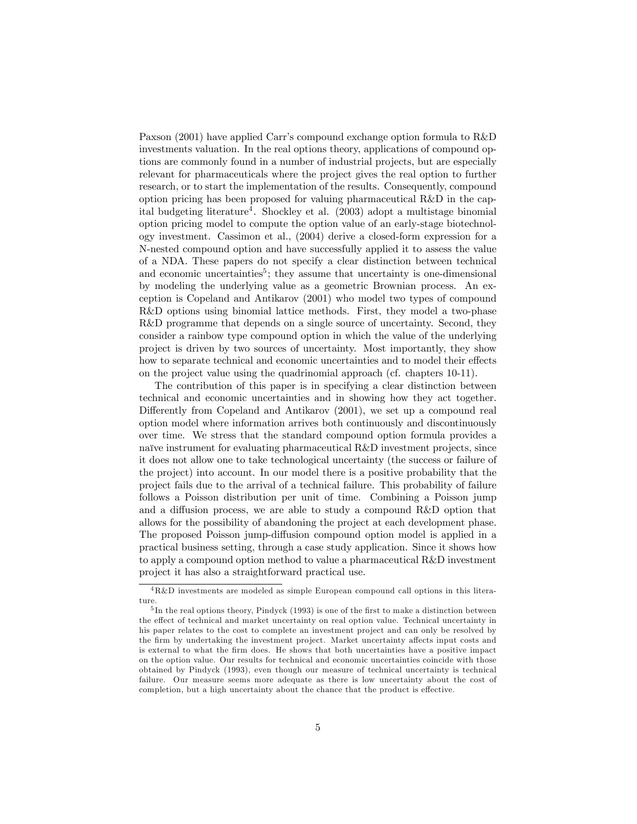Paxson (2001) have applied Carr's compound exchange option formula to  $R&D$ investments valuation. In the real options theory, applications of compound options are commonly found in a number of industrial projects, but are especially relevant for pharmaceuticals where the project gives the real option to further research, or to start the implementation of the results. Consequently, compound option pricing has been proposed for valuing pharmaceutical R&D in the capital budgeting literature<sup>4</sup> . Shockley et al. (2003) adopt a multistage binomial option pricing model to compute the option value of an early-stage biotechnology investment. Cassimon et al., (2004) derive a closed-form expression for a N-nested compound option and have successfully applied it to assess the value of a NDA. These papers do not specify a clear distinction between technical and economic uncertainties<sup>5</sup>; they assume that uncertainty is one-dimensional by modeling the underlying value as a geometric Brownian process. An exception is Copeland and Antikarov (2001) who model two types of compound R&D options using binomial lattice methods. First, they model a two-phase R&D programme that depends on a single source of uncertainty. Second, they consider a rainbow type compound option in which the value of the underlying project is driven by two sources of uncertainty. Most importantly, they show how to separate technical and economic uncertainties and to model their effects on the project value using the quadrinomial approach (cf. chapters 10-11).

The contribution of this paper is in specifying a clear distinction between technical and economic uncertainties and in showing how they act together. Differently from Copeland and Antikarov (2001), we set up a compound real option model where information arrives both continuously and discontinuously over time. We stress that the standard compound option formula provides a naïve instrument for evaluating pharmaceutical  $R&D$  investment projects, since it does not allow one to take technological uncertainty (the success or failure of the project) into account. In our model there is a positive probability that the project fails due to the arrival of a technical failure. This probability of failure follows a Poisson distribution per unit of time. Combining a Poisson jump and a diffusion process, we are able to study a compound  $R&D$  option that allows for the possibility of abandoning the project at each development phase. The proposed Poisson jump-diffusion compound option model is applied in a practical business setting, through a case study application. Since it shows how to apply a compound option method to value a pharmaceutical R&D investment project it has also a straightforward practical use.

<sup>4</sup>R&D investments are modeled as simple European compound call options in this literature.

 ${}^{5}$ In the real options theory, Pindyck (1993) is one of the first to make a distinction between the effect of technical and market uncertainty on real option value. Technical uncertainty in his paper relates to the cost to complete an investment project and can only be resolved by the firm by undertaking the investment project. Market uncertainty affects input costs and is external to what the firm does. He shows that both uncertainties have a positive impact on the option value. Our results for technical and economic uncertainties coincide with those obtained by Pindyck (1993), even though our measure of technical uncertainty is technical failure. Our measure seems more adequate as there is low uncertainty about the cost of completion, but a high uncertainty about the chance that the product is effective.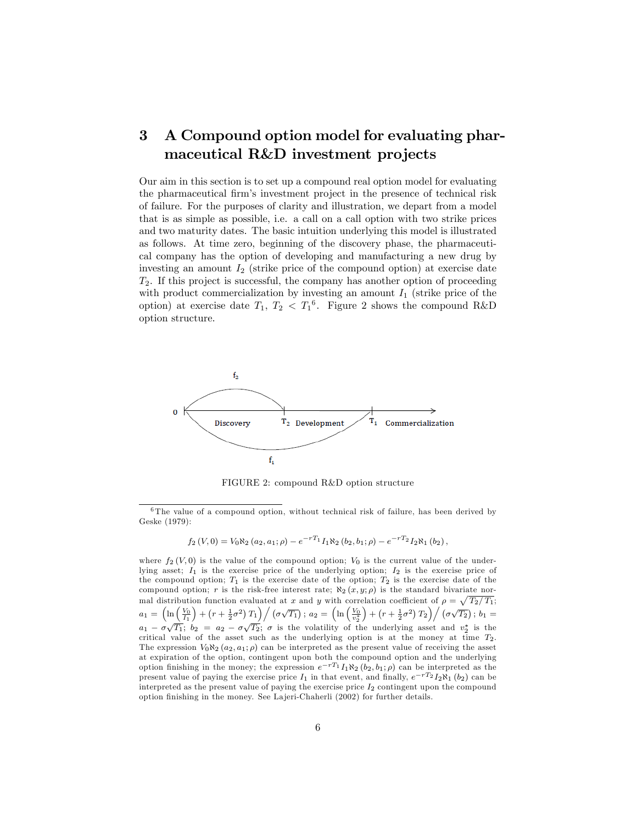## 3 A Compound option model for evaluating pharmaceutical R&D investment projects

Our aim in this section is to set up a compound real option model for evaluating the pharmaceutical firm's investment project in the presence of technical risk of failure. For the purposes of clarity and illustration, we depart from a model that is as simple as possible, i.e. a call on a call option with two strike prices and two maturity dates. The basic intuition underlying this model is illustrated as follows. At time zero, beginning of the discovery phase, the pharmaceutical company has the option of developing and manufacturing a new drug by investing an amount  $I_2$  (strike price of the compound option) at exercise date  $T_2$ . If this project is successful, the company has another option of proceeding with product commercialization by investing an amount  $I_1$  (strike price of the option) at exercise date  $T_1, T_2 < T_1^6$ . Figure 2 shows the compound R&D option structure.



FIGURE 2: compound R&D option structure

$$
f_2(V,0) = V_0 \aleph_2 (a_2,a_1;\rho) - e^{-rT_1} I_1 \aleph_2 (b_2,b_1;\rho) - e^{-rT_2} I_2 \aleph_1 (b_2),
$$

where  $f_2(V,0)$  is the value of the compound option;  $V_0$  is the current value of the underlying asset;  $I_1$  is the exercise price of the underlying option;  $I_2$  is the exercise price of the compound option;  $T_1$  is the exercise date of the option;  $T_2$  is the exercise date of the compound option; r is the risk-free interest rate;  $\aleph_2(x, y; \rho)$  is the standard bivariate normal distribution function evaluated at x and y with correlation coefficient of  $\rho = \sqrt{T_2/T_1}$ ;  $a_1 = \left(\ln\left(\frac{V_0}{I_1}\right) + \left(r + \frac{1}{2}\sigma^2\right)T_1\right) / \left(\sigma\sqrt{T_1}\right); a_2 = \left(\ln\left(\frac{V_0}{v_2^*}\right)\right)$  $\Big)+\left(r+\frac{1}{2}\sigma^{2}\right)T_{2}\Big)\Big/\left(\sigma\sqrt{T_{2}}\right);b_{1}=\right.$  $a_1 - \sigma \sqrt{T_1}$ ;  $b_2 = a_2 - \sigma \sqrt{T_2}$ ;  $\sigma$  is the volatility of the underlying asset and  $v_2^*$  is the critical value of the asset such as the underlying option is at the money at time  $T_2$ . The expression  $V_0\mathcal{R}_2(a_2,a_1;\rho)$  can be interpreted as the present value of receiving the asset at expiration of the option, contingent upon both the compound option and the underlying option finishing in the money; the expression  $e^{-rT_1} I_1 \aleph_2 (b_2, b_1; \rho)$  can be interpreted as the present value of paying the exercise price  $I_1$  in that event, and finally,  $e^{-rT_2}I_2\aleph_1(b_2)$  can be interpreted as the present value of paying the exercise price  $I_2$  contingent upon the compound option Önishing in the money. See La jeri-Chaherli (2002) for further details.

 $6$ The value of a compound option, without technical risk of failure, has been derived by Geske (1979):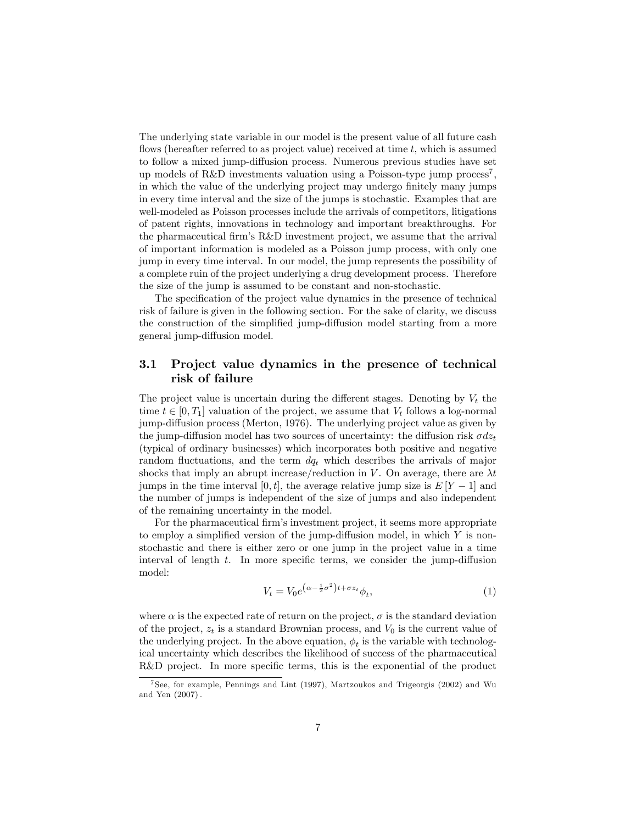The underlying state variable in our model is the present value of all future cash flows (hereafter referred to as project value) received at time  $t$ , which is assumed to follow a mixed jump-diffusion process. Numerous previous studies have set up models of R&D investments valuation using a Poisson-type jump process<sup>7</sup>, in which the value of the underlying project may undergo finitely many jumps in every time interval and the size of the jumps is stochastic. Examples that are well-modeled as Poisson processes include the arrivals of competitors, litigations of patent rights, innovations in technology and important breakthroughs. For the pharmaceutical firm's  $R&D$  investment project, we assume that the arrival of important information is modeled as a Poisson jump process, with only one jump in every time interval. In our model, the jump represents the possibility of a complete ruin of the project underlying a drug development process. Therefore the size of the jump is assumed to be constant and non-stochastic.

The specification of the project value dynamics in the presence of technical risk of failure is given in the following section. For the sake of clarity, we discuss the construction of the simplified jump-diffusion model starting from a more general jump-diffusion model.

### 3.1 Project value dynamics in the presence of technical risk of failure

The project value is uncertain during the different stages. Denoting by  $V_t$  the time  $t \in [0, T_1]$  valuation of the project, we assume that  $V_t$  follows a log-normal jump-diffusion process (Merton, 1976). The underlying project value as given by the jump-diffusion model has two sources of uncertainty: the diffusion risk  $\sigma dz_t$ (typical of ordinary businesses) which incorporates both positive and negative random fluctuations, and the term  $dq_t$  which describes the arrivals of major shocks that imply an abrupt increase/reduction in V. On average, there are  $\lambda t$ jumps in the time interval [0, t], the average relative jump size is  $E[Y-1]$  and the number of jumps is independent of the size of jumps and also independent of the remaining uncertainty in the model.

For the pharmaceutical firm's investment project, it seems more appropriate to employ a simplified version of the jump-diffusion model, in which  $Y$  is nonstochastic and there is either zero or one jump in the project value in a time interval of length  $t$ . In more specific terms, we consider the jump-diffusion model:

$$
V_t = V_0 e^{\left(\alpha - \frac{1}{2}\sigma^2\right)t + \sigma z_t} \phi_t,\tag{1}
$$

where  $\alpha$  is the expected rate of return on the project,  $\sigma$  is the standard deviation of the project,  $z_t$  is a standard Brownian process, and  $V_0$  is the current value of the underlying project. In the above equation,  $\phi_t$  is the variable with technological uncertainty which describes the likelihood of success of the pharmaceutical  $R&D$  project. In more specific terms, this is the exponential of the product

<sup>7</sup> See, for example, Pennings and Lint (1997), Martzoukos and Trigeorgis (2002) and Wu and Yen (2007).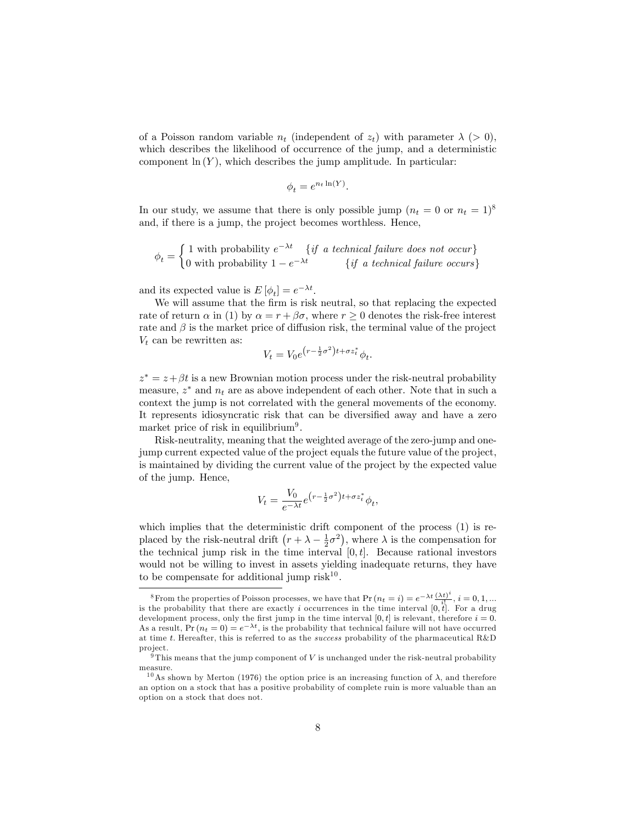of a Poisson random variable  $n_t$  (independent of  $z_t$ ) with parameter  $\lambda$  (> 0), which describes the likelihood of occurrence of the jump, and a deterministic component  $\ln(Y)$ , which describes the jump amplitude. In particular:

$$
\phi_t = e^{n_t \ln(Y)}.
$$

In our study, we assume that there is only possible jump  $(n_t = 0 \text{ or } n_t = 1)^8$ and, if there is a jump, the project becomes worthless. Hence,

$$
\phi_t = \begin{cases} 1 \text{ with probability } e^{-\lambda t} & \{if \text{ a technical failure does not occur} \} \\ 0 \text{ with probability } 1 - e^{-\lambda t} & \{if \text{ a technical failure occurs} \} \end{cases}
$$

and its expected value is  $E[\phi_t] = e^{-\lambda t}$ .

We will assume that the firm is risk neutral, so that replacing the expected rate of return  $\alpha$  in (1) by  $\alpha = r + \beta \sigma$ , where  $r \geq 0$  denotes the risk-free interest rate and  $\beta$  is the market price of diffusion risk, the terminal value of the project  $V_t$  can be rewritten as:

$$
V_t = V_0 e^{\left(r - \frac{1}{2}\sigma^2\right)t + \sigma z_t^*} \phi_t.
$$

 $z^* = z + \beta t$  is a new Brownian motion process under the risk-neutral probability measure,  $z^*$  and  $n_t$  are as above independent of each other. Note that in such a context the jump is not correlated with the general movements of the economy. It represents idiosyncratic risk that can be diversified away and have a zero market price of risk in equilibrium<sup>9</sup>.

Risk-neutrality, meaning that the weighted average of the zero-jump and onejump current expected value of the project equals the future value of the project, is maintained by dividing the current value of the project by the expected value of the jump. Hence,

$$
V_t = \frac{V_0}{e^{-\lambda t}} e^{\left(r - \frac{1}{2}\sigma^2\right)t + \sigma z_t^*} \phi_t,
$$

which implies that the deterministic drift component of the process  $(1)$  is replaced by the risk-neutral drift  $(r + \lambda - \frac{1}{2}\sigma^2)$ , where  $\lambda$  is the compensation for the technical jump risk in the time interval  $[0, t]$ . Because rational investors would not be willing to invest in assets yielding inadequate returns, they have to be compensate for additional jump risk<sup>10</sup>.

<sup>&</sup>lt;sup>8</sup> From the properties of Poisson processes, we have that  $Pr(n_t = i) = e^{-\lambda t} \frac{(\lambda t)^i}{i!}, i = 0, 1, ...$ is the probability that there are exactly i occurrences in the time interval  $[0, t]$ . For a drug development process, only the first jump in the time interval  $[0, t]$  is relevant, therefore  $i = 0$ . As a result,  $Pr(n_t = 0) = e^{-\lambda t}$ , is the probability that technical failure will not have occurred at time t. Hereafter, this is referred to as the *success* probability of the pharmaceutical  $R\&D$ pro ject.

 $\frac{9}{9}$ This means that the jump component of V is unchanged under the risk-neutral probability measure.

<sup>&</sup>lt;sup>10</sup>As shown by Merton (1976) the option price is an increasing function of  $\lambda$ , and therefore an option on a stock that has a positive probability of complete ruin is more valuable than an option on a stock that does not.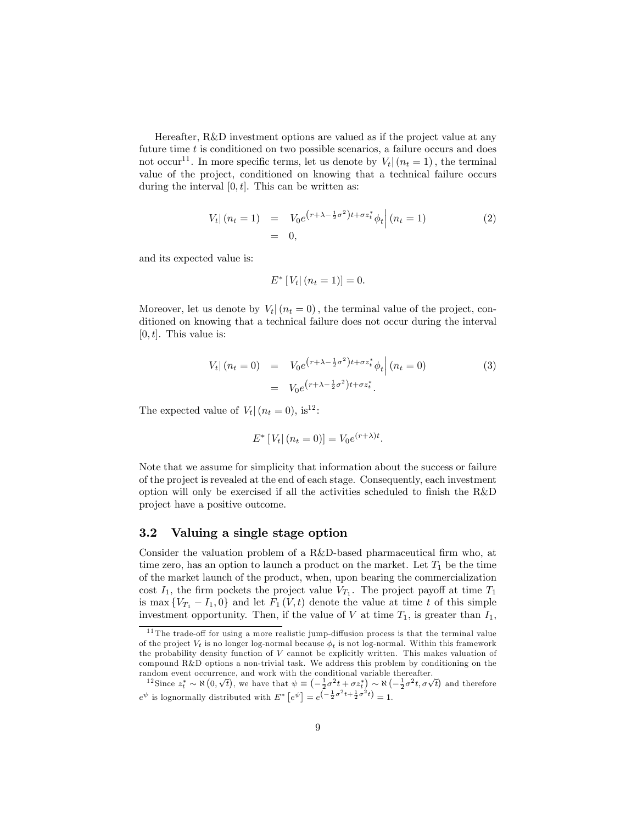Hereafter, R&D investment options are valued as if the project value at any future time  $t$  is conditioned on two possible scenarios, a failure occurs and does not occur<sup>11</sup>. In more specific terms, let us denote by  $V_t|(n_t = 1)$ , the terminal value of the project, conditioned on knowing that a technical failure occurs during the interval  $[0, t]$ . This can be written as:

$$
V_t | (n_t = 1) = V_0 e^{(r + \lambda - \frac{1}{2}\sigma^2)t + \sigma z_t^*} \phi_t | (n_t = 1)
$$
\n
$$
= 0,
$$
\n(2)

and its expected value is:

$$
E^* \left[ V_t \right] (n_t = 1) = 0.
$$

Moreover, let us denote by  $V_t|(n_t = 0)$ , the terminal value of the project, conditioned on knowing that a technical failure does not occur during the interval  $[0, t]$ . This value is:

$$
V_t | (n_t = 0) = V_0 e^{(r + \lambda - \frac{1}{2}\sigma^2)t + \sigma z_t^*} \phi_t | (n_t = 0)
$$
\n
$$
= V_0 e^{(r + \lambda - \frac{1}{2}\sigma^2)t + \sigma z_t^*}.
$$
\n(3)

The expected value of  $V_t|(n_t = 0)$ , is<sup>12</sup>:

$$
E^* [V_t | (n_t = 0)] = V_0 e^{(r+\lambda)t}.
$$

Note that we assume for simplicity that information about the success or failure of the project is revealed at the end of each stage. Consequently, each investment option will only be exercised if all the activities scheduled to finish the  $R&D$ project have a positive outcome.

#### 3.2 Valuing a single stage option

Consider the valuation problem of a R&D-based pharmaceutical firm who, at time zero, has an option to launch a product on the market. Let  $T_1$  be the time of the market launch of the product, when, upon bearing the commercialization cost  $I_1$ , the firm pockets the project value  $V_{T_1}$ . The project payoff at time  $T_1$ is max  ${V_{T_1} - I_1, 0}$  and let  $F_1(V, t)$  denote the value at time t of this simple investment opportunity. Then, if the value of  $V$  at time  $T_1$ , is greater than  $I_1$ ,

 $11$ The trade-off for using a more realistic jump-diffusion process is that the terminal value of the project  $V_t$  is no longer log-normal because  $\phi_t$  is not log-normal. Within this framework the probability density function of V cannot be explicitly written. This makes valuation of compound R&D options a non-trivial task. We address this problem by conditioning on the random event occurrence, and work with the conditional variable thereafter.

<sup>&</sup>lt;sup>12</sup>Since  $z_t^* \sim \aleph(0, \sqrt{t})$ , we have that  $\psi \equiv \left(-\frac{1}{2}\sigma^2 t + \sigma z_t^*\right) \sim \aleph\left(-\frac{1}{2}\sigma^2 t, \sigma\sqrt{t}\right)$  and therefore  $e^{\psi}$  is lognormally distributed with  $E^*$   $\left[e^{\psi}\right] = e^{\left(-\frac{1}{2}\sigma^2 t + \frac{1}{2}\sigma^2 t\right)} = 1$ .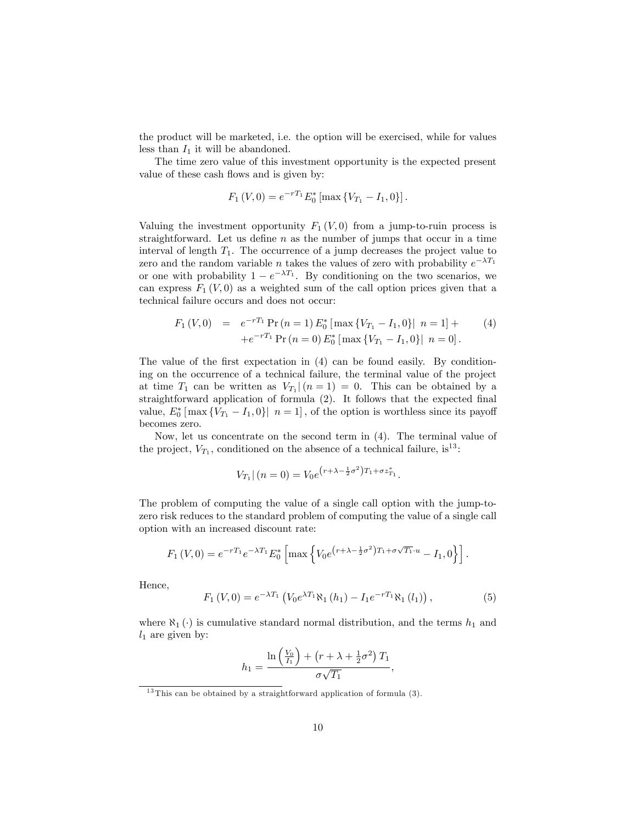the product will be marketed, i.e. the option will be exercised, while for values less than  $I_1$  it will be abandoned.

The time zero value of this investment opportunity is the expected present value of these cash flows and is given by:

$$
F_1(V,0) = e^{-rT_1} E_0^* \left[ \max \{ V_{T_1} - I_1, 0 \} \right].
$$

Valuing the investment opportunity  $F_1(V, 0)$  from a jump-to-ruin process is straightforward. Let us define  $n$  as the number of jumps that occur in a time interval of length  $T_1$ . The occurrence of a jump decreases the project value to zero and the random variable *n* takes the values of zero with probability  $e^{-\lambda T_1}$ or one with probability  $1 - e^{-\lambda T_1}$ . By conditioning on the two scenarios, we can express  $F_1(V, 0)$  as a weighted sum of the call option prices given that a technical failure occurs and does not occur:

$$
F_1(V,0) = e^{-rT_1} \Pr(n=1) E_0^* [\max \{V_{T_1} - I_1, 0\} | n=1] +
$$
  
+e^{-rT\_1} \Pr(n=0) E\_0^\* [\max \{V\_{T\_1} - I\_1, 0\} | n=0]. \n
$$
(4)
$$

The value of the first expectation in  $(4)$  can be found easily. By conditioning on the occurrence of a technical failure, the terminal value of the project at time  $T_1$  can be written as  $V_{T_1}|(n=1) = 0$ . This can be obtained by a straightforward application of formula  $(2)$ . It follows that the expected final value,  $E_0^*$  [max  $\{V_{T_1} - I_1, 0\}$ ]  $n = 1$ ], of the option is worthless since its payoff becomes zero.

Now, let us concentrate on the second term in (4). The terminal value of the project,  $V_{T_1}$ , conditioned on the absence of a technical failure, is<sup>13</sup>:

$$
V_{T_1} | (n = 0) = V_0 e^{(r + \lambda - \frac{1}{2}\sigma^2)T_1 + \sigma z_{T_1}^*}.
$$

The problem of computing the value of a single call option with the jump-tozero risk reduces to the standard problem of computing the value of a single call option with an increased discount rate:

$$
F_1(V,0) = e^{-rT_1}e^{-\lambda T_1}E_0^* \left[ \max \left\{ V_0 e^{\left(r+\lambda - \frac{1}{2}\sigma^2\right)T_1 + \sigma\sqrt{T_1}\cdot u} - I_1,0 \right\} \right].
$$

Hence,

$$
F_1(V,0) = e^{-\lambda T_1} \left( V_0 e^{\lambda T_1} \aleph_1 (h_1) - I_1 e^{-rT_1} \aleph_1 (l_1) \right), \tag{5}
$$

where  $\aleph_1(\cdot)$  is cumulative standard normal distribution, and the terms  $h_1$  and  $l_1$  are given by:

$$
h_1 = \frac{\ln\left(\frac{V_0}{I_1}\right) + \left(r + \lambda + \frac{1}{2}\sigma^2\right)T_1}{\sigma\sqrt{T_1}},
$$

 $13$  This can be obtained by a straightforward application of formula (3).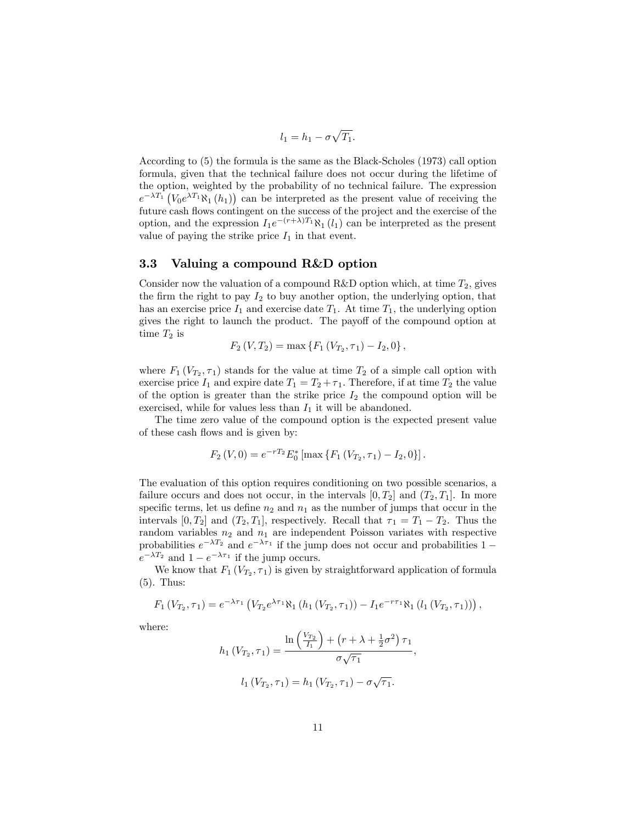$$
l_1 = h_1 - \sigma \sqrt{T_1}.
$$

According to (5) the formula is the same as the Black-Scholes (1973) call option formula, given that the technical failure does not occur during the lifetime of the option, weighted by the probability of no technical failure. The expression  $e^{-\lambda T_1} (V_0 e^{\lambda T_1} \aleph_1(h_1))$  can be interpreted as the present value of receiving the future cash flows contingent on the success of the project and the exercise of the option, and the expression  $I_1e^{-(r+\lambda)T_1}\aleph_1(l_1)$  can be interpreted as the present value of paying the strike price  $I_1$  in that event.

#### 3.3 Valuing a compound R&D option

Consider now the valuation of a compound R&D option which, at time  $T_2$ , gives the firm the right to pay  $I_2$  to buy another option, the underlying option, that has an exercise price  $I_1$  and exercise date  $T_1$ . At time  $T_1$ , the underlying option gives the right to launch the product. The payoff of the compound option at time  $T_2$  is

$$
F_2(V,T_2)=\max\left\{F_1(V_{T_2},\tau_1)-I_2,0\right\},\,
$$

where  $F_1(V_{T_2}, \tau_1)$  stands for the value at time  $T_2$  of a simple call option with exercise price  $I_1$  and expire date  $T_1 = T_2 + \tau_1$ . Therefore, if at time  $T_2$  the value of the option is greater than the strike price  $I_2$  the compound option will be exercised, while for values less than  $I_1$  it will be abandoned.

The time zero value of the compound option is the expected present value of these cash flows and is given by:

$$
F_2(V,0) = e^{-rT_2} E_0^* \left[ \max \{ F_1(V_{T_2}, \tau_1) - I_2, 0 \} \right].
$$

The evaluation of this option requires conditioning on two possible scenarios, a failure occurs and does not occur, in the intervals  $[0, T_2]$  and  $(T_2, T_1]$ . In more specific terms, let us define  $n_2$  and  $n_1$  as the number of jumps that occur in the intervals  $[0, T_2]$  and  $(T_2, T_1]$ , respectively. Recall that  $\tau_1 = T_1 - T_2$ . Thus the random variables  $n_2$  and  $n_1$  are independent Poisson variates with respective probabilities  $e^{-\lambda T_2}$  and  $e^{-\lambda \tau_1}$  if the jump does not occur and probabilities  $1-\lambda T$  $e^{-\lambda T_2}$  and  $1 - e^{-\lambda \tau_1}$  if the jump occurs.

We know that  $F_1(V_{T_2}, \tau_1)$  is given by straightforward application of formula (5). Thus:

$$
F_1(V_{T_2}, \tau_1) = e^{-\lambda \tau_1} \left( V_{T_2} e^{\lambda \tau_1} \aleph_1 (h_1(V_{T_2}, \tau_1)) - I_1 e^{-r \tau_1} \aleph_1 (l_1(V_{T_2}, \tau_1)) \right),
$$

where:

$$
h_1(V_{T_2}, \tau_1) = \frac{\ln\left(\frac{V_{T_2}}{I_1}\right) + \left(r + \lambda + \frac{1}{2}\sigma^2\right)\tau_1}{\sigma\sqrt{\tau_1}},
$$

$$
l_1(V_{T_2}, \tau_1) = h_1(V_{T_2}, \tau_1) - \sigma\sqrt{\tau_1}.
$$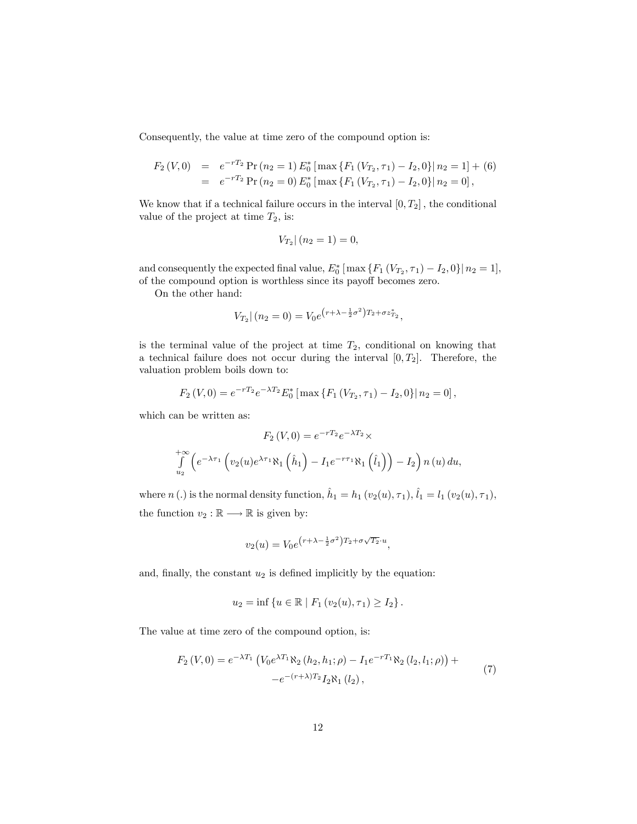Consequently, the value at time zero of the compound option is:

$$
F_2(V,0) = e^{-rT_2} \Pr(n_2 = 1) E_0^* [\max \{ F_1(V_{T_2}, \tau_1) - I_2, 0 \} | n_2 = 1] + (6)
$$
  
=  $e^{-rT_2} \Pr(n_2 = 0) E_0^* [\max \{ F_1(V_{T_2}, \tau_1) - I_2, 0 \} | n_2 = 0],$ 

We know that if a technical failure occurs in the interval  $[0, T_2]$ , the conditional value of the project at time  $T_2$ , is:

$$
V_{T_2} | (n_2 = 1) = 0,
$$

and consequently the expected final value,  $E_0^*$  [max  $\{F_1(V_{T_2}, \tau_1) - I_2, 0\}$ ]  $n_2 = 1$ ], of the compound option is worthless since its payoff becomes zero.

On the other hand:

$$
V_{T_2} | (n_2 = 0) = V_0 e^{(r + \lambda - \frac{1}{2}\sigma^2)T_2 + \sigma z_{T_2}^*},
$$

is the terminal value of the project at time  $T_2$ , conditional on knowing that a technical failure does not occur during the interval  $[0, T_2]$ . Therefore, the valuation problem boils down to:

$$
F_2(V,0) = e^{-rT_2}e^{-\lambda T_2}E_0^* \left[ \max \left\{ F_1(V_{T_2}, \tau_1) - I_2, 0 \right\} \middle| n_2 = 0 \right],
$$

which can be written as:

$$
F_2(V,0) = e^{-rT_2}e^{-\lambda T_2} \times
$$
  

$$
\int_{u_2}^{+\infty} \left( e^{-\lambda \tau_1} \left( v_2(u)e^{\lambda \tau_1} \aleph_1 \left( \hat{h}_1 \right) - I_1 e^{-r\tau_1} \aleph_1 \left( \hat{l}_1 \right) \right) - I_2 \right) n(u) du,
$$

where  $n(.)$  is the normal density function,  $\hat{h}_1 = h_1$   $(v_2(u), \tau_1), \hat{l}_1 = l_1$   $(v_2(u), \tau_1),$ the function  $v_2 : \mathbb{R} \longrightarrow \mathbb{R}$  is given by:

$$
v_2(u) = V_0 e^{(r + \lambda - \frac{1}{2}\sigma^2)T_2 + \sigma\sqrt{T_2} \cdot u},
$$

and, finally, the constant  $u_2$  is defined implicitly by the equation:

$$
u_2 = \inf \{ u \in \mathbb{R} \mid F_1(v_2(u), \tau_1) \ge I_2 \}.
$$

The value at time zero of the compound option, is:

$$
F_2(V,0) = e^{-\lambda T_1} \left( V_0 e^{\lambda T_1} \aleph_2(h_2, h_1; \rho) - I_1 e^{-rT_1} \aleph_2(l_2, l_1; \rho) \right) +
$$
  
-e^{-(r+\lambda)T\_2} I\_2 \aleph\_1(l\_2), \t\t(7)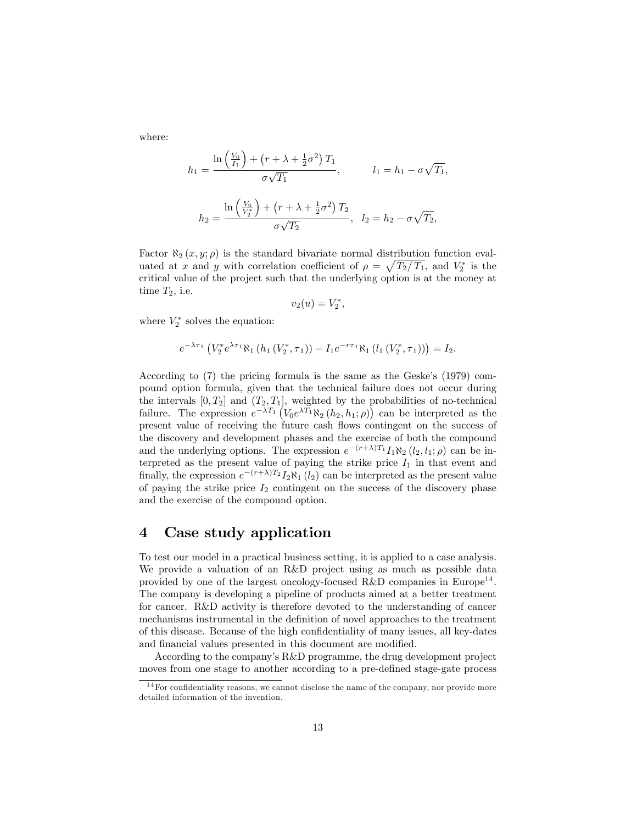where:

$$
h_1 = \frac{\ln\left(\frac{V_0}{I_1}\right) + \left(r + \lambda + \frac{1}{2}\sigma^2\right)T_1}{\sigma\sqrt{T_1}}, \qquad l_1 = h_1 - \sigma\sqrt{T_1},
$$
  

$$
h_2 = \frac{\ln\left(\frac{V_0}{V_2}\right) + \left(r + \lambda + \frac{1}{2}\sigma^2\right)T_2}{\sigma\sqrt{T_2}}, \quad l_2 = h_2 - \sigma\sqrt{T_2},
$$

Factor  $\aleph_2(x, y; \rho)$  is the standard bivariate normal distribution function evaluated at x and y with correlation coefficient of  $\rho = \sqrt{T_2/T_1}$ , and  $V_2^*$  is the critical value of the project such that the underlying option is at the money at time  $T_2$ , i.e.

$$
v_2(u) = V_2^*,
$$

where  $V_2^*$  solves the equation:

$$
e^{-\lambda \tau_1} \left( V_2^* e^{\lambda \tau_1} \aleph_1 \left( h_1 \left( V_2^*, \tau_1 \right) \right) - I_1 e^{-r \tau_1} \aleph_1 \left( l_1 \left( V_2^*, \tau_1 \right) \right) \right) = I_2.
$$

According to  $(7)$  the pricing formula is the same as the Geske's  $(1979)$  compound option formula, given that the technical failure does not occur during the intervals  $[0, T_2]$  and  $(T_2, T_1]$ , weighted by the probabilities of no-technical failure. The expression  $e^{-\lambda T_1} \left( V_0 e^{\lambda T_1} \aleph_2(h_2, h_1; \rho) \right)$  can be interpreted as the present value of receiving the future cash flows contingent on the success of the discovery and development phases and the exercise of both the compound and the underlying options. The expression  $e^{-(r+\lambda)T_1}I_1\aleph_2 (l_2, l_1; \rho)$  can be interpreted as the present value of paying the strike price  $I_1$  in that event and finally, the expression  $e^{-(r+\lambda)T_2}I_2\aleph_1(l_2)$  can be interpreted as the present value of paying the strike price  $I_2$  contingent on the success of the discovery phase and the exercise of the compound option.

## 4 Case study application

To test our model in a practical business setting, it is applied to a case analysis. We provide a valuation of an R&D project using as much as possible data provided by one of the largest oncology-focused R&D companies in Europe<sup>14</sup>. The company is developing a pipeline of products aimed at a better treatment for cancer. R&D activity is therefore devoted to the understanding of cancer mechanisms instrumental in the definition of novel approaches to the treatment of this disease. Because of the high confidentiality of many issues, all key-dates and financial values presented in this document are modified.

According to the company's R&D programme, the drug development project moves from one stage to another according to a pre-defined stage-gate process

 $14$  For confidentiality reasons, we cannot disclose the name of the company, nor provide more detailed information of the invention.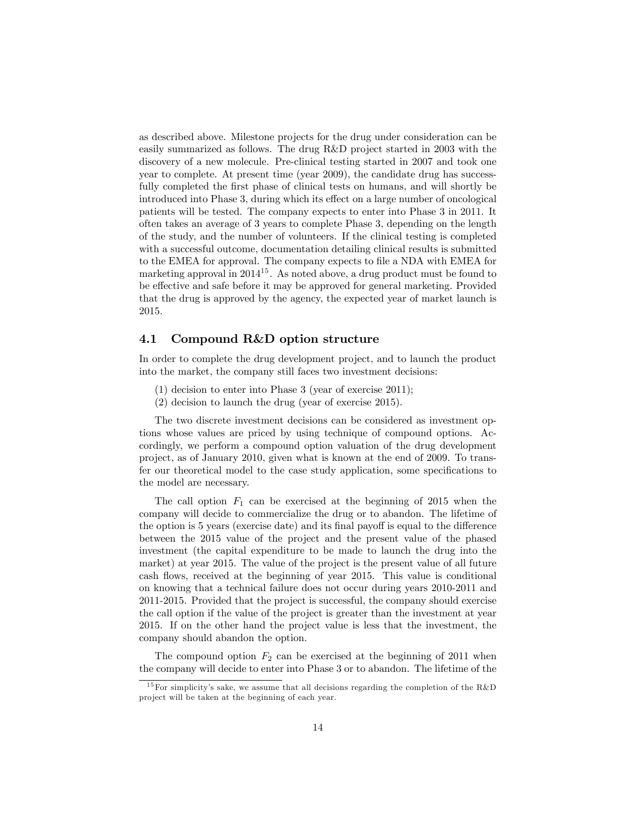as described above. Milestone projects for the drug under consideration can be easily summarized as follows. The drug R&D project started in 2003 with the discovery of a new molecule. Pre-clinical testing started in 2007 and took one year to complete. At present time (year 2009), the candidate drug has successfully completed the first phase of clinical tests on humans, and will shortly be introduced into Phase 3, during which its effect on a large number of oncological patients will be tested. The company expects to enter into Phase 3 in 2011. It often takes an average of 3 years to complete Phase 3, depending on the length of the study, and the number of volunteers. If the clinical testing is completed with a successful outcome, documentation detailing clinical results is submitted to the EMEA for approval. The company expects to file a NDA with EMEA for marketing approval in  $2014^{15}$ . As noted above, a drug product must be found to be effective and safe before it may be approved for general marketing. Provided that the drug is approved by the agency, the expected year of market launch is 2015.

#### 4.1 Compound R&D option structure

In order to complete the drug development project, and to launch the product into the market, the company still faces two investment decisions:

- (1) decision to enter into Phase 3 (year of exercise 2011);
- (2) decision to launch the drug (year of exercise 2015).

The two discrete investment decisions can be considered as investment options whose values are priced by using technique of compound options. Accordingly, we perform a compound option valuation of the drug development project, as of January 2010, given what is known at the end of 2009. To transfer our theoretical model to the case study application, some specifications to the model are necessary.

The call option  $F_1$  can be exercised at the beginning of 2015 when the company will decide to commercialize the drug or to abandon. The lifetime of the option is 5 years (exercise date) and its final payoff is equal to the difference between the 2015 value of the project and the present value of the phased investment (the capital expenditure to be made to launch the drug into the market) at year 2015. The value of the project is the present value of all future cash áows, received at the beginning of year 2015. This value is conditional on knowing that a technical failure does not occur during years 2010-2011 and 2011-2015. Provided that the project is successful, the company should exercise the call option if the value of the project is greater than the investment at year 2015. If on the other hand the project value is less that the investment, the company should abandon the option.

The compound option  $F_2$  can be exercised at the beginning of 2011 when the company will decide to enter into Phase 3 or to abandon. The lifetime of the

<sup>&</sup>lt;sup>15</sup>For simplicity's sake, we assume that all decisions regarding the completion of the R&D project will be taken at the beginning of each year.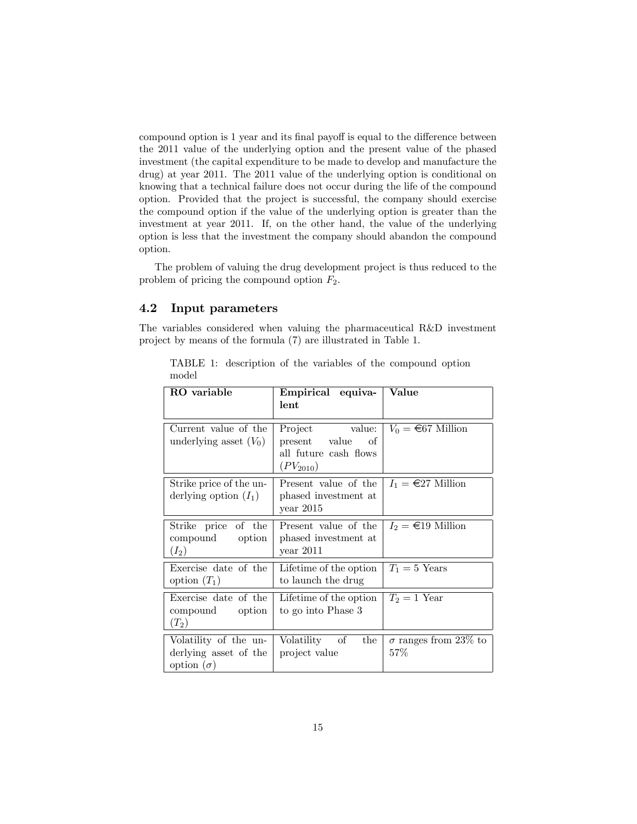compound option is 1 year and its final payoff is equal to the difference between the 2011 value of the underlying option and the present value of the phased investment (the capital expenditure to be made to develop and manufacture the drug) at year 2011. The 2011 value of the underlying option is conditional on knowing that a technical failure does not occur during the life of the compound option. Provided that the project is successful, the company should exercise the compound option if the value of the underlying option is greater than the investment at year 2011. If, on the other hand, the value of the underlying option is less that the investment the company should abandon the compound option.

The problem of valuing the drug development project is thus reduced to the problem of pricing the compound option  $F_2$ .

#### 4.2 Input parameters

The variables considered when valuing the pharmaceutical R&D investment project by means of the formula (7) are illustrated in Table 1.

| RO variable                                                         | Empirical equiva-<br>lent                                                                          | Value                                  |  |  |
|---------------------------------------------------------------------|----------------------------------------------------------------------------------------------------|----------------------------------------|--|--|
| Current value of the<br>underlying asset $(V_0)$                    | Project<br>value:<br>present value of<br>all future cash flows<br>$(PV_{2010})$                    | $V_0 = \text{\textsterling}67$ Million |  |  |
| Strike price of the un-<br>derlying option $(I_1)$                  | Present value of the $I_1 = \text{\textsterling}27$ Million<br>phased investment at<br>year $2015$ |                                        |  |  |
| Strike price of the<br>compound option<br>$(I_2)$                   | Present value of the<br>phased investment at<br>year $2011$                                        | $I_2 = \text{\textsterling}19$ Million |  |  |
| Exercise date of the<br>option $(T_1)$                              | Lifetime of the option<br>to launch the drug                                                       | $T_1 = 5$ Years                        |  |  |
| Exercise date of the<br>compound option<br>$(T_2)$                  | Lifetime of the option<br>to go into Phase 3                                                       | $T_2 = 1$ Year                         |  |  |
| Volatility of the un-<br>derlying asset of the<br>option $(\sigma)$ | Volatility of<br>the<br>project value                                                              | $\sigma$ ranges from 23\% to<br>57\%   |  |  |

TABLE 1: description of the variables of the compound option model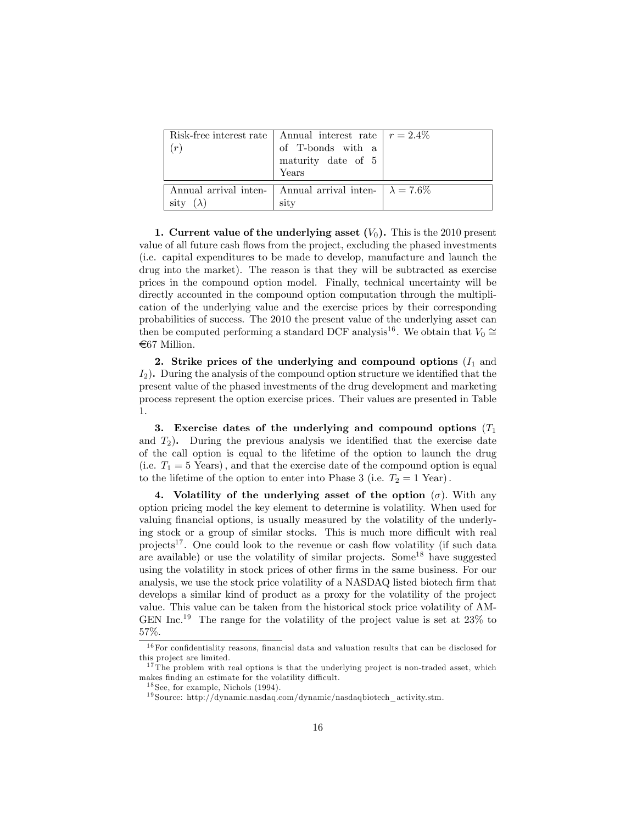| (r               | Risk-free interest rate   Annual interest rate   $r = 2.4\%$<br>of T-bonds with a |  |
|------------------|-----------------------------------------------------------------------------------|--|
|                  | maturity date of $5$<br>Years                                                     |  |
|                  | Annual arrival inten-   Annual arrival inten-   $\lambda = 7.6\%$                 |  |
| sity $(\lambda)$ | sity                                                                              |  |

1. Current value of the underlying asset  $(V_0)$ . This is the 2010 present value of all future cash flows from the project, excluding the phased investments (i.e. capital expenditures to be made to develop, manufacture and launch the drug into the market). The reason is that they will be subtracted as exercise prices in the compound option model. Finally, technical uncertainty will be directly accounted in the compound option computation through the multiplication of the underlying value and the exercise prices by their corresponding probabilities of success. The 2010 the present value of the underlying asset can then be computed performing a standard DCF analysis<sup>16</sup>. We obtain that  $V_0 \cong$  $\in$  67 Million.

2. Strike prices of the underlying and compound options  $(I_1 \text{ and } I_2 \text{)}$  $I_2$ ). During the analysis of the compound option structure we identified that the present value of the phased investments of the drug development and marketing process represent the option exercise prices. Their values are presented in Table 1.

3. Exercise dates of the underlying and compound options  $(T_1)$ and  $T_2$ ). During the previous analysis we identified that the exercise date of the call option is equal to the lifetime of the option to launch the drug (i.e.  $T_1 = 5$  Years), and that the exercise date of the compound option is equal to the lifetime of the option to enter into Phase 3 (i.e.  $T_2 = 1$  Year).

4. Volatility of the underlying asset of the option  $(\sigma)$ . With any option pricing model the key element to determine is volatility. When used for valuing financial options, is usually measured by the volatility of the underlying stock or a group of similar stocks. This is much more difficult with real projects<sup>17</sup>. One could look to the revenue or cash flow volatility (if such data are available) or use the volatility of similar projects. Some<sup>18</sup> have suggested using the volatility in stock prices of other firms in the same business. For our analysis, we use the stock price volatility of a NASDAQ listed biotech firm that develops a similar kind of product as a proxy for the volatility of the project value. This value can be taken from the historical stock price volatility of AM-GEN Inc.<sup>19</sup> The range for the volatility of the project value is set at  $23\%$  to 57%.

 $16$  For confidentiality reasons, financial data and valuation results that can be disclosed for this project are limited.

<sup>&</sup>lt;sup>17</sup>The problem with real options is that the underlying project is non-traded asset, which makes finding an estimate for the volatility difficult.

 $18$  See, for example, Nichols  $(1994)$ .

 $19$  Source: http://dynamic.nasdaq.com/dynamic/nasdaqbiotech\_activity.stm.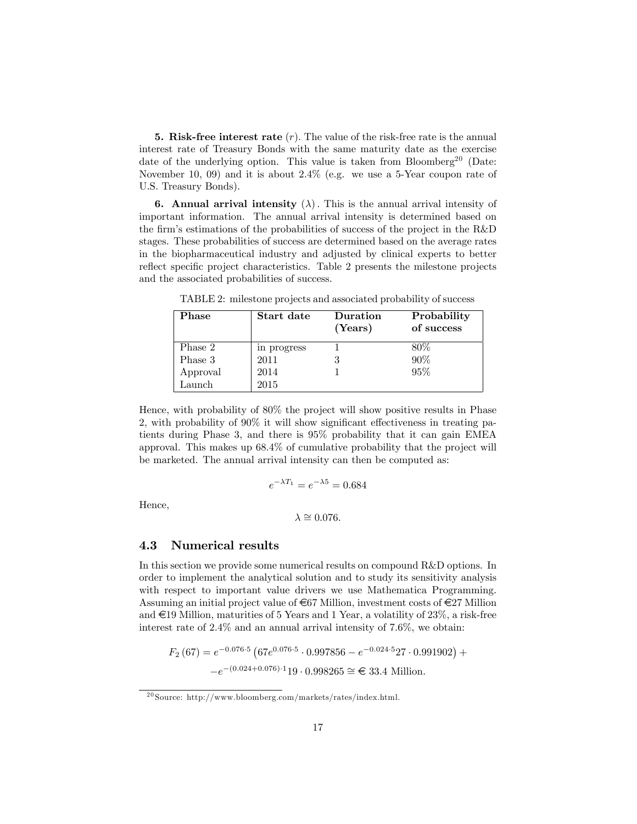5. Risk-free interest rate  $(r)$ . The value of the risk-free rate is the annual interest rate of Treasury Bonds with the same maturity date as the exercise date of the underlying option. This value is taken from Bloomberg<sup>20</sup> (Date: November 10, 09) and it is about 2:4% (e.g. we use a 5-Year coupon rate of U.S. Treasury Bonds).

6. Annual arrival intensity  $(\lambda)$ . This is the annual arrival intensity of important information. The annual arrival intensity is determined based on the firm's estimations of the probabilities of success of the project in the R&D stages. These probabilities of success are determined based on the average rates in the biopharmaceutical industry and adjusted by clinical experts to better reflect specific project characteristics. Table 2 presents the milestone projects and the associated probabilities of success.

| Phase    | Start date  | Duration | Probability |  |  |
|----------|-------------|----------|-------------|--|--|
|          |             | (Years)  | of success  |  |  |
| Phase 2  | in progress |          | $80\%$      |  |  |
| Phase 3  | 2011        |          | 90%         |  |  |
| Approval | 2014        |          | 95%         |  |  |
| Launch   | 2015        |          |             |  |  |

TABLE 2: milestone projects and associated probability of success

Hence, with probability of 80% the project will show positive results in Phase 2, with probability of  $90\%$  it will show significant effectiveness in treating patients during Phase 3, and there is 95% probability that it can gain EMEA approval. This makes up 68:4% of cumulative probability that the project will be marketed. The annual arrival intensity can then be computed as:

$$
e^{-\lambda T_1} = e^{-\lambda 5} = 0.684
$$

Hence,

$$
\lambda \cong 0.076.
$$

#### 4.3 Numerical results

In this section we provide some numerical results on compound R&D options. In order to implement the analytical solution and to study its sensitivity analysis with respect to important value drivers we use Mathematica Programming. Assuming an initial project value of  $\epsilon$ 67 Million, investment costs of  $\epsilon$ 27 Million and  $\in$  19 Million, maturities of 5 Years and 1 Year, a volatility of 23%, a risk-free interest rate of  $2.4\%$  and an annual arrival intensity of 7.6%, we obtain:

$$
F_2(67) = e^{-0.076 \cdot 5} \left(67e^{0.076 \cdot 5} \cdot 0.997856 - e^{-0.024 \cdot 5}27 \cdot 0.991902\right) +
$$
  

$$
-e^{-(0.024 + 0.076) \cdot 1}19 \cdot 0.998265 \cong \text{\textcircled{33.4} million.}
$$

 $^{20}$  Source: http://www.bloomberg.com/markets/rates/index.html.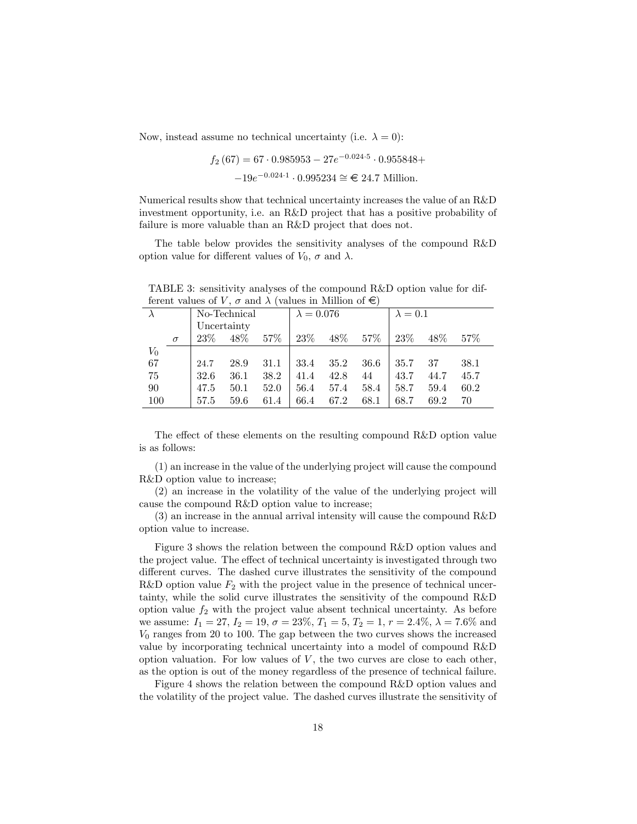Now, instead assume no technical uncertainty (i.e.  $\lambda = 0$ ):

$$
f_2(67) = 67 \cdot 0.985953 - 27e^{-0.024 \cdot 5} \cdot 0.955848 +
$$

$$
-19e^{-0.024 \cdot 1} \cdot 0.995234 \approx \text{\textsterling} 24.7 \text{ million.}
$$

Numerical results show that technical uncertainty increases the value of an R&D investment opportunity, i.e. an R&D project that has a positive probability of failure is more valuable than an R&D project that does not.

The table below provides the sensitivity analyses of the compound R&D option value for different values of  $V_0$ ,  $\sigma$  and  $\lambda$ .

| event values of v, v and $\lambda$ (values in Million of $\epsilon$ ) |          |              |      |      |                   |      |                 |      |      |      |
|-----------------------------------------------------------------------|----------|--------------|------|------|-------------------|------|-----------------|------|------|------|
|                                                                       |          | No-Technical |      |      | $\lambda = 0.076$ |      | $\lambda = 0.1$ |      |      |      |
|                                                                       |          | Uncertainty  |      |      |                   |      |                 |      |      |      |
|                                                                       | $\sigma$ | $23\%$       | 48\% | 57\% | 23\%              | 48%  | 57\%            | 23\% | 48\% | 57%  |
| $V_0$                                                                 |          |              |      |      |                   |      |                 |      |      |      |
| 67                                                                    |          | 24.7         | 28.9 | 31.1 | 33.4              | 35.2 | 36.6            | 35.7 | 37   | 38.1 |
| 75                                                                    |          | 32.6         | 36.1 | 38.2 | 41.4              | 42.8 | 44              | 43.7 | 44.7 | 45.7 |
| 90                                                                    |          | 47.5         | 50.1 | 52.0 | 56.4              | 57.4 | 58.4            | 58.7 | 59.4 | 60.2 |
| 100                                                                   |          | 57.5         | 59.6 | 61.4 | 66.4              | 67.2 | 68.1            | 68.7 | 69.2 | 70   |

TABLE 3: sensitivity analyses of the compound R&D option value for different values of V  $\sigma$  and  $\lambda$  (values in Million of  $\epsilon$ )

The effect of these elements on the resulting compound  $R&D$  option value is as follows:

(1) an increase in the value of the underlying project will cause the compound R&D option value to increase;

(2) an increase in the volatility of the value of the underlying project will cause the compound R&D option value to increase;

(3) an increase in the annual arrival intensity will cause the compound R&D option value to increase.

Figure 3 shows the relation between the compound R&D option values and the project value. The effect of technical uncertainty is investigated through two different curves. The dashed curve illustrates the sensitivity of the compound R&D option value  $F_2$  with the project value in the presence of technical uncertainty, while the solid curve illustrates the sensitivity of the compound R&D option value  $f_2$  with the project value absent technical uncertainty. As before we assume:  $I_1 = 27$ ,  $I_2 = 19$ ,  $\sigma = 23\%, T_1 = 5$ ,  $T_2 = 1$ ,  $r = 2.4\%, \lambda = 7.6\%$  and  $V_0$  ranges from 20 to 100. The gap between the two curves shows the increased value by incorporating technical uncertainty into a model of compound R&D option valuation. For low values of  $V$ , the two curves are close to each other, as the option is out of the money regardless of the presence of technical failure.

Figure 4 shows the relation between the compound R&D option values and the volatility of the project value. The dashed curves illustrate the sensitivity of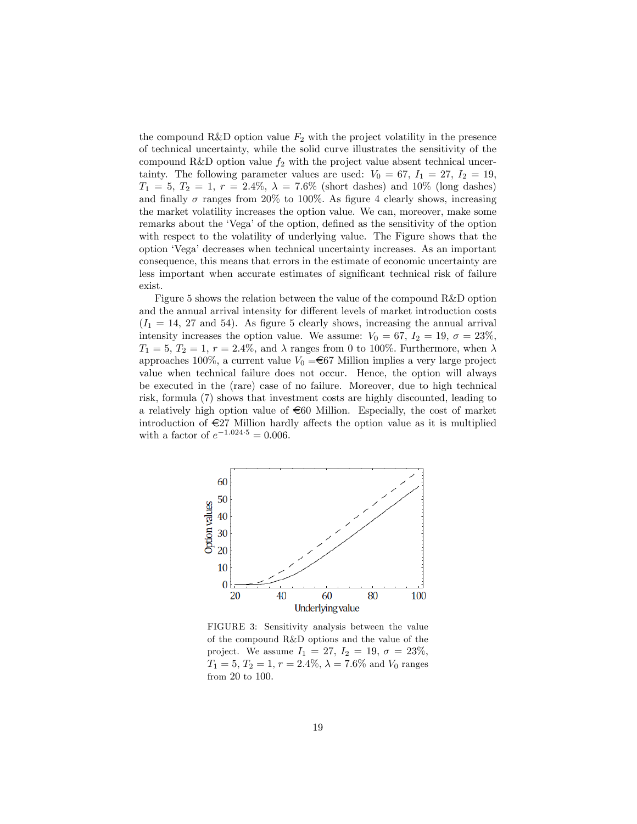the compound R&D option value  $F_2$  with the project volatility in the presence of technical uncertainty, while the solid curve illustrates the sensitivity of the compound R&D option value  $f_2$  with the project value absent technical uncertainty. The following parameter values are used:  $V_0 = 67$ ,  $I_1 = 27$ ,  $I_2 = 19$ ,  $T_1 = 5, T_2 = 1, r = 2.4\%, \lambda = 7.6\%$  (short dashes) and 10% (long dashes) and finally  $\sigma$  ranges from 20% to 100%. As figure 4 clearly shows, increasing the market volatility increases the option value. We can, moreover, make some remarks about the 'Vega' of the option, defined as the sensitivity of the option with respect to the volatility of underlying value. The Figure shows that the option ëVegaídecreases when technical uncertainty increases. As an important consequence, this means that errors in the estimate of economic uncertainty are less important when accurate estimates of significant technical risk of failure exist.

Figure 5 shows the relation between the value of the compound R&D option and the annual arrival intensity for different levels of market introduction costs  $(I_1 = 14, 27 \text{ and } 54)$ . As figure 5 clearly shows, increasing the annual arrival intensity increases the option value. We assume:  $V_0 = 67$ ,  $I_2 = 19$ ,  $\sigma = 23\%$ ,  $T_1 = 5, T_2 = 1, r = 2.4\%$ , and  $\lambda$  ranges from 0 to 100%. Furthermore, when  $\lambda$ approaches 100%, a current value  $V_0 = \epsilon 67$  Million implies a very large project value when technical failure does not occur. Hence, the option will always be executed in the (rare) case of no failure. Moreover, due to high technical risk, formula (7) shows that investment costs are highly discounted, leading to a relatively high option value of  $\epsilon$ 60 Million. Especially, the cost of market introduction of  $\epsilon$  27 Million hardly affects the option value as it is multiplied with a factor of  $e^{-1.024 \cdot 5} = 0.006$ .



FIGURE 3: Sensitivity analysis between the value of the compound R&D options and the value of the project. We assume  $I_1 = 27, I_2 = 19, \sigma = 23\%,$  $T_1 = 5, T_2 = 1, r = 2.4\%, \lambda = 7.6\%$  and  $V_0$  ranges from 20 to 100: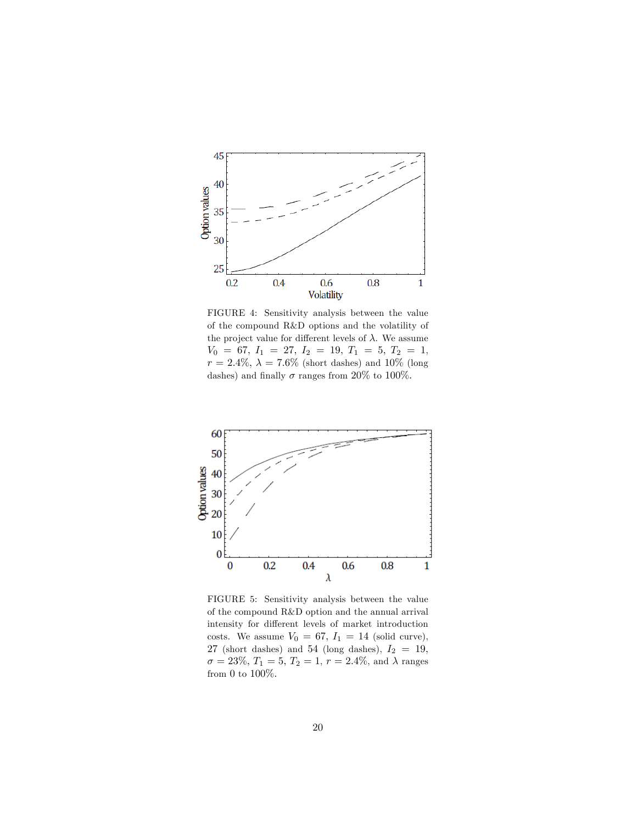

FIGURE 4: Sensitivity analysis between the value of the compound R&D options and the volatility of the project value for different levels of  $\lambda$ . We assume  $V_0 = 67, I_1 = 27, I_2 = 19, T_1 = 5, T_2 = 1,$  $r = 2.4\%, \lambda = 7.6\%$  (short dashes) and 10% (long dashes) and finally  $\sigma$  ranges from 20% to 100%.



FIGURE 5: Sensitivity analysis between the value of the compound R&D option and the annual arrival intensity for different levels of market introduction costs. We assume  $V_0 = 67, I_1 = 14$  (solid curve), 27 (short dashes) and 54 (long dashes),  $I_2 = 19$ ,  $\sigma = 23\%, T_1 = 5, T_2 = 1, r = 2.4\%, \text{ and } \lambda \text{ ranges}$ from 0 to  $100\%$ .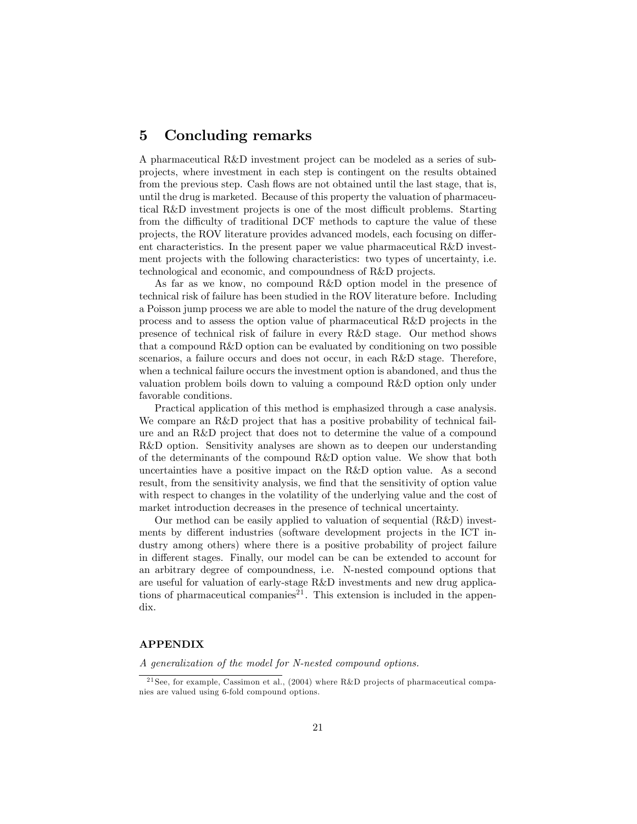## 5 Concluding remarks

A pharmaceutical R&D investment project can be modeled as a series of subprojects, where investment in each step is contingent on the results obtained from the previous step. Cash flows are not obtained until the last stage, that is, until the drug is marketed. Because of this property the valuation of pharmaceutical R&D investment projects is one of the most difficult problems. Starting from the difficulty of traditional DCF methods to capture the value of these projects, the ROV literature provides advanced models, each focusing on different characteristics. In the present paper we value pharmaceutical R&D investment projects with the following characteristics: two types of uncertainty, i.e. technological and economic, and compoundness of R&D projects.

As far as we know, no compound R&D option model in the presence of technical risk of failure has been studied in the ROV literature before. Including a Poisson jump process we are able to model the nature of the drug development process and to assess the option value of pharmaceutical R&D projects in the presence of technical risk of failure in every R&D stage. Our method shows that a compound R&D option can be evaluated by conditioning on two possible scenarios, a failure occurs and does not occur, in each R&D stage. Therefore, when a technical failure occurs the investment option is abandoned, and thus the valuation problem boils down to valuing a compound R&D option only under favorable conditions.

Practical application of this method is emphasized through a case analysis. We compare an R&D project that has a positive probability of technical failure and an R&D project that does not to determine the value of a compound R&D option. Sensitivity analyses are shown as to deepen our understanding of the determinants of the compound R&D option value. We show that both uncertainties have a positive impact on the R&D option value. As a second result, from the sensitivity analysis, we find that the sensitivity of option value with respect to changes in the volatility of the underlying value and the cost of market introduction decreases in the presence of technical uncertainty.

Our method can be easily applied to valuation of sequential (R&D) investments by different industries (software development projects in the ICT industry among others) where there is a positive probability of project failure in different stages. Finally, our model can be can be extended to account for an arbitrary degree of compoundness, i.e. N-nested compound options that are useful for valuation of early-stage R&D investments and new drug applications of pharmaceutical companies<sup>21</sup>. This extension is included in the appendix.

#### APPENDIX

A generalization of the model for N-nested compound options.

<sup>&</sup>lt;sup>21</sup> See, for example, Cassimon et al., (2004) where R&D projects of pharmaceutical companies are valued using 6-fold compound options.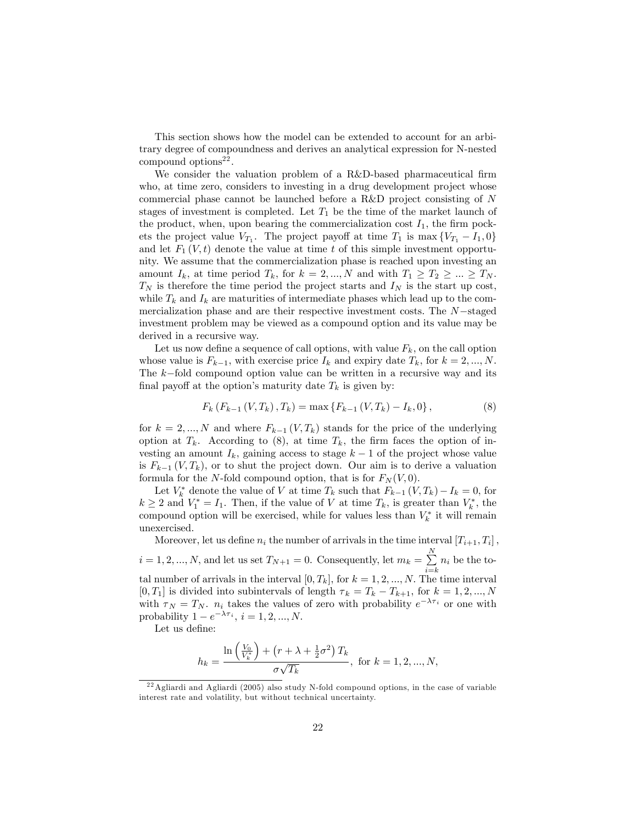This section shows how the model can be extended to account for an arbitrary degree of compoundness and derives an analytical expression for N-nested compound options $^{22}$ .

We consider the valuation problem of a  $R\&D$ -based pharmaceutical firm who, at time zero, considers to investing in a drug development project whose commercial phase cannot be launched before a R&D project consisting of N stages of investment is completed. Let  $T_1$  be the time of the market launch of the product, when, upon bearing the commercialization cost  $I_1$ , the firm pockets the project value  $V_{T_1}$ . The project payoff at time  $T_1$  is max  $\{V_{T_1} - I_1, 0\}$ and let  $F_1(V,t)$  denote the value at time t of this simple investment opportunity. We assume that the commercialization phase is reached upon investing an amount  $I_k$ , at time period  $T_k$ , for  $k = 2, ..., N$  and with  $T_1 \geq T_2 \geq ... \geq T_N$ .  $T_N$  is therefore the time period the project starts and  $I_N$  is the start up cost, while  $T_k$  and  $I_k$  are maturities of intermediate phases which lead up to the commercialization phase and are their respective investment costs. The  $N$ -staged investment problem may be viewed as a compound option and its value may be derived in a recursive way.

Let us now define a sequence of call options, with value  $F_k$ , on the call option whose value is  $F_{k-1}$ , with exercise price  $I_k$  and expiry date  $T_k$ , for  $k = 2, ..., N$ . The  $k$ -fold compound option value can be written in a recursive way and its final payoff at the option's maturity date  $T_k$  is given by:

$$
F_k(F_{k-1}(V,T_k),T_k) = \max\{F_{k-1}(V,T_k) - I_k,0\},\tag{8}
$$

for  $k = 2, ..., N$  and where  $F_{k-1} (V, T_k)$  stands for the price of the underlying option at  $T_k$ . According to (8), at time  $T_k$ , the firm faces the option of investing an amount  $I_k$ , gaining access to stage  $k-1$  of the project whose value is  $F_{k-1} (V, T_k)$ , or to shut the project down. Our aim is to derive a valuation formula for the N-fold compound option, that is for  $F_N(V, 0)$ .

Let  $V_k^*$  denote the value of V at time  $T_k$  such that  $F_{k-1} (V, T_k) - I_k = 0$ , for  $k \geq 2$  and  $V_1^* = I_1$ . Then, if the value of V at time  $T_k$ , is greater than  $V_k^*$ , the compound option will be exercised, while for values less than  $V_k^*$  it will remain unexercised.

Moreover, let us define  $n_i$  the number of arrivals in the time interval  $[T_{i+1}, T_i]$ ,  $i = 1, 2, ..., N$ , and let us set  $T_{N+1} = 0$ . Consequently, let  $m_k = \sum_{i=1}^{N}$  $\sum_{i=k} n_i$  be the total number of arrivals in the interval  $[0, T_k]$ , for  $k = 1, 2, ..., N$ . The time interval  $[0,T_1]$  is divided into subintervals of length  $\tau_k = T_k - T_{k+1}$ , for  $k = 1,2,...,N$ with  $\tau_N = T_N$ .  $n_i$  takes the values of zero with probability  $e^{-\lambda \tau_i}$  or one with probability  $1 - e^{-\lambda \tau_i}$ ,  $i = 1, 2, ..., N$ .

Let us define:

$$
h_k = \frac{\ln\left(\frac{V_0}{V_k^*}\right) + \left(r + \lambda + \frac{1}{2}\sigma^2\right)T_k}{\sigma\sqrt{T_k}}, \text{ for } k = 1, 2, ..., N,
$$

 $^{22}$  Agliardi and Agliardi (2005) also study N-fold compound options, in the case of variable interest rate and volatility, but without technical uncertainty.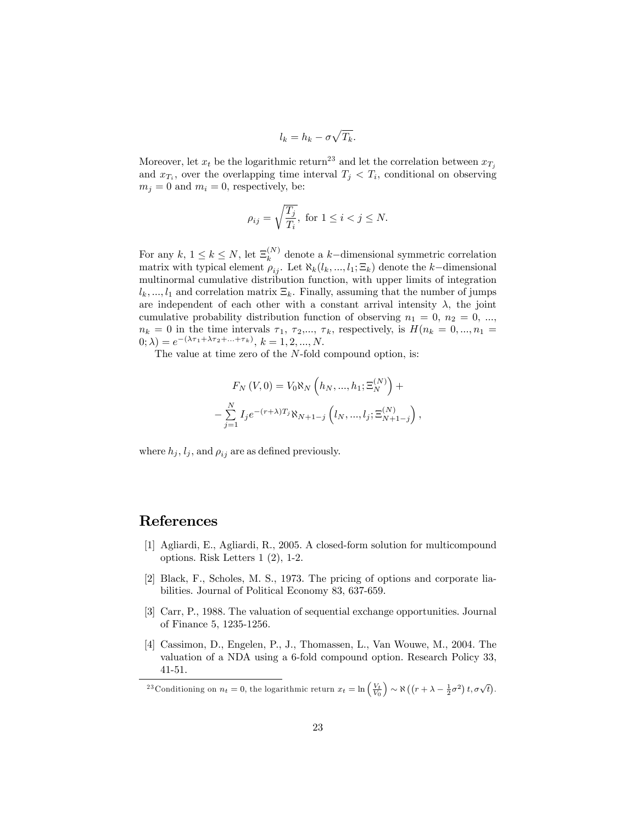$$
l_k = h_k - \sigma \sqrt{T_k}.
$$

Moreover, let  $x_t$  be the logarithmic return<sup>23</sup> and let the correlation between  $x_{T_i}$ and  $x_{T_i}$ , over the overlapping time interval  $T_j < T_i$ , conditional on observing  $m_i = 0$  and  $m_i = 0$ , respectively, be:

$$
\rho_{ij} = \sqrt{\frac{T_j}{T_i}}, \text{ for } 1 \le i < j \le N.
$$

For any  $k, 1 \leq k \leq N$ , let  $\Xi_k^{(N)}$  $\lambda_k^{(N)}$  denote a k-dimensional symmetric correlation matrix with typical element  $\rho_{ij}$ . Let  $\aleph_k(l_k, ..., l_1; \Xi_k)$  denote the k-dimensional multinormal cumulative distribution function, with upper limits of integration  $l_k, ..., l_1$  and correlation matrix  $\Xi_k$ . Finally, assuming that the number of jumps are independent of each other with a constant arrival intensity  $\lambda$ , the joint cumulative probability distribution function of observing  $n_1 = 0, n_2 = 0, ...$  $n_k = 0$  in the time intervals  $\tau_1, \tau_2, ..., \tau_k$ , respectively, is  $H(n_k = 0, ..., n_1 =$  $(0; \lambda) = e^{-(\lambda \tau_1 + \lambda \tau_2 + \ldots + \tau_k)}, k = 1, 2, ..., N.$ 

The value at time zero of the N-fold compound option, is:

$$
F_N(V,0) = V_0 N_N \left( h_N, ..., h_1; \Xi_N^{(N)} \right) +
$$
  

$$
- \sum_{j=1}^N I_j e^{-(r+\lambda)T_j} N_{N+1-j} \left( l_N, ..., l_j; \Xi_{N+1-j}^{(N)} \right),
$$

where  $h_j$ ,  $l_j$ , and  $\rho_{ij}$  are as defined previously.

## References

- [1] Agliardi, E., Agliardi, R., 2005. A closed-form solution for multicompound options. Risk Letters 1 (2), 1-2.
- [2] Black, F., Scholes, M. S., 1973. The pricing of options and corporate liabilities. Journal of Political Economy 83, 637-659.
- [3] Carr, P., 1988. The valuation of sequential exchange opportunities. Journal of Finance 5, 1235-1256.
- [4] Cassimon, D., Engelen, P., J., Thomassen, L., Van Wouwe, M., 2004. The valuation of a NDA using a 6-fold compound option. Research Policy 33, 41-51.

<sup>23</sup> Conditioning on  $n_t = 0$ , the logarithmic return  $x_t = \ln\left(\frac{V_t}{V_0}\right) \sim \aleph\left(\left(r + \lambda - \frac{1}{2}\sigma^2\right)t, \sigma\sqrt{t}\right)$ .